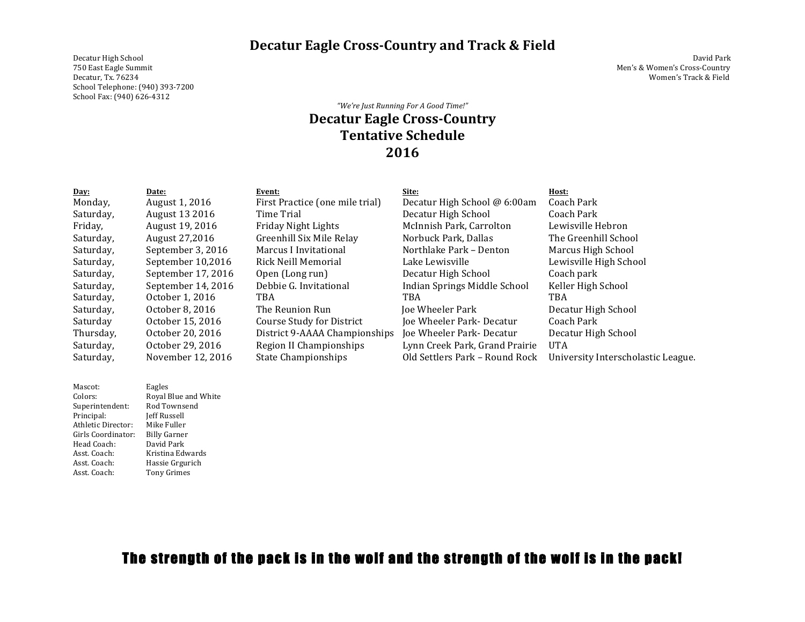**Decatur Eagle Cross-Country and Track & Field** 

Decatur High School David Park Decatur, Tx. 76234 Women's Track & Field School Telephone: (940) 393-7200 School Fax: (940) 626-4312

Men's & Women's Cross-Country

## *"We're Just Running For A Good Time!"* **Decatur Eagle Cross-Country Tentative Schedule 2016**

| Day:      | Date:              | Event:                          | Site:                          | Host:                              |
|-----------|--------------------|---------------------------------|--------------------------------|------------------------------------|
| Monday,   | August 1, 2016     | First Practice (one mile trial) | Decatur High School @ 6:00am   | Coach Park                         |
| Saturday, | August 13 2016     | Time Trial                      | Decatur High School            | Coach Park                         |
| Friday,   | August 19, 2016    | Friday Night Lights             | McInnish Park, Carrolton       | Lewisville Hebron                  |
| Saturday, | August 27,2016     | Greenhill Six Mile Relay        | Norbuck Park, Dallas           | The Greenhill School               |
| Saturday, | September 3, 2016  | Marcus I Invitational           | Northlake Park - Denton        | Marcus High School                 |
| Saturday, | September 10,2016  | Rick Neill Memorial             | Lake Lewisville                | Lewisville High School             |
| Saturday, | September 17, 2016 | Open (Long run)                 | Decatur High School            | Coach park                         |
| Saturday, | September 14, 2016 | Debbie G. Invitational          | Indian Springs Middle School   | Keller High School                 |
| Saturday, | October 1, 2016    | <b>TBA</b>                      | TBA                            | <b>TBA</b>                         |
| Saturday, | October 8, 2016    | The Reunion Run                 | <b>Joe Wheeler Park</b>        | Decatur High School                |
| Saturday  | October 15, 2016   | Course Study for District       | Joe Wheeler Park-Decatur       | Coach Park                         |
| Thursday, | October 20, 2016   | District 9-AAAA Championships   | Joe Wheeler Park-Decatur       | Decatur High School                |
| Saturday, | October 29, 2016   | Region II Championships         | Lynn Creek Park, Grand Prairie | <b>UTA</b>                         |
| Saturday, | November 12, 2016  | State Championships             | Old Settlers Park - Round Rock | University Interscholastic League. |

| Mascot:            | Eagles               |
|--------------------|----------------------|
| Colors:            | Royal Blue and White |
| Superintendent:    | Rod Townsend         |
| Principal:         | Jeff Russell         |
| Athletic Director: | Mike Fuller          |
| Girls Coordinator: | <b>Billy Garner</b>  |
| Head Coach:        | David Park           |
| Asst. Coach:       | Kristina Edwards     |
| Asst. Coach:       | Hassie Grgurich      |
| Asst. Coach:       | <b>Tony Grimes</b>   |

## The strength of the pack is in the wolf and the strength of the wolf is in the pack!